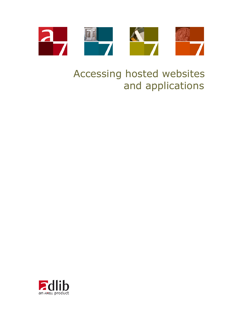

# Accessing hosted websites and applications

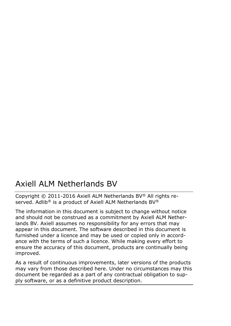## Axiell ALM Netherlands BV

Copyright © 2011-2016 Axiell ALM Netherlands BV® All rights reserved. Adlib® is a product of Axiell ALM Netherlands BV®

The information in this document is subject to change without notice and should not be construed as a commitment by Axiell ALM Netherlands BV. Axiell assumes no responsibility for any errors that may appear in this document. The software described in this document is furnished under a licence and may be used or copied only in accordance with the terms of such a licence. While making every effort to ensure the accuracy of this document, products are continually being improved.

As a result of continuous improvements, later versions of the products may vary from those described here. Under no circumstances may this document be regarded as a part of any contractual obligation to supply software, or as a definitive product description.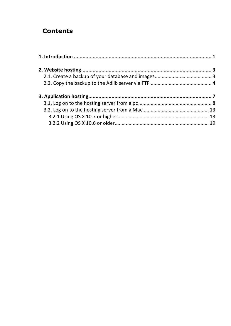## **Contents**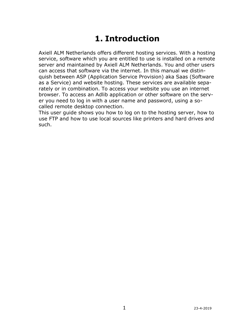## **1. Introduction**

<span id="page-4-0"></span>Axiell ALM Netherlands offers different hosting services. With a hosting service, software which you are entitled to use is installed on a remote server and maintained by Axiell ALM Netherlands. You and other users can access that software via the internet. In this manual we distinquish between ASP (Application Service Provision) aka Saas (Software as a Service) and website hosting. These services are available separately or in combination. To access your website you use an internet browser. To access an Adlib application or other software on the server you need to log in with a user name and password, using a socalled remote desktop connection.

This user guide shows you how to log on to the hosting server, how to use FTP and how to use local sources like printers and hard drives and such.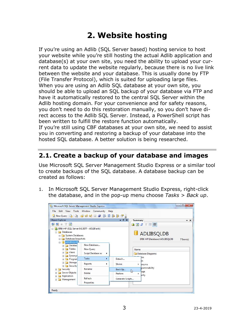## **2. Website hosting**

<span id="page-6-0"></span>If you're using an Adlib (SQL Server based) hosting service to host your website while you're still hosting the actual Adlib application and database(s) at your own site, you need the ability to upload your current data to update the website regularly, because there is no live link between the website and your database. This is usually done by FTP (File Transfer Protocol), which is suited for uploading large files. When you are using an Adlib SQL database at your own site, you should be able to upload an SQL backup of your database via FTP and have it automatically restored to the central SQL Server within the Adlib hosting domain. For your convenience and for safety reasons, you don't need to do this restoration manually, so you don't have direct access to the Adlib SQL Server. Instead, a PowerShell script has been written to fulfill the restore function automatically. If you're still using CBF databases at your own site, we need to assist you in converting and restoring a backup of your database into the hosted SQL database. A better solution is being researched.

## <span id="page-6-1"></span>**2.1. Create a backup of your database and images**

Use Microsoft SQL Server Management Studio Express or a similar tool to create backups of the SQL database. A database backup can be created as follows:

1. In Microsoft SQL Server Management Studio Express, right-click the database, and in the pop-up menu choose *Tasks* > *Back up*.

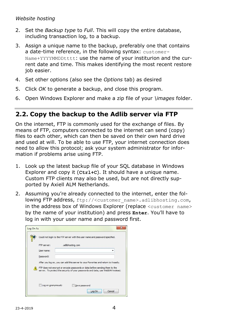#### *Website hosting*

- 2. Set the *Backup type* to *Full*. This will copy the entire database, including transaction log, to a backup.
- 3. Assign a unique name to the backup, preferably one that contains a date-time reference, in the following syntax: customer-Name+YYYYMMDDtttt: use the name of your institurion and the current date and time. This makes identifying the most recent restore job easier.
- 4. Set other options (also see the *Options* tab) as desired
- 5. Click *OK* to generate a backup, and close this program.
- 6. Open Windows Explorer and make a zip file of your *\images* folder.

### <span id="page-7-0"></span>**2.2. Copy the backup to the Adlib server via FTP**

On the internet, FTP is commonly used for the exchange of files. By means of FTP, computers connected to the internet can send (copy) files to each other, which can then be saved on their own hard drive and used at will. To be able to use FTP, your internet connection does need to allow this protocol; ask your system administrator for information if problems arise using FTP.

- 1. Look up the latest backup file of your SQL database in Windows Explorer and copy it (**Ctrl+C**). It should have a unique name. Custom FTP clients may also be used, but are not directly supported by Axiell ALM Netherlands.
- 2. Assuming you're already connected to the internet, enter the following FTP address, ftp://<customer\_name>.adlibhosting.com, in the address box of Windows Explorer (replace <customer name> by the name of your institution) and press **Enter**. You'll have to log in with your user name and password first.

|             | Could not login to the FTP server with the user name and password specified.                                                                                   |
|-------------|----------------------------------------------------------------------------------------------------------------------------------------------------------------|
| FTP server: | .adlibhosting.com                                                                                                                                              |
| User name:  |                                                                                                                                                                |
| Password:   |                                                                                                                                                                |
|             | After you log on, you can add this server to your Favorites and return to it easily.                                                                           |
|             | FTP does not encrypt or encode passwords or data before sending them to the<br>server. To protect the security of your passwords and data, use WebDAV instead. |
|             |                                                                                                                                                                |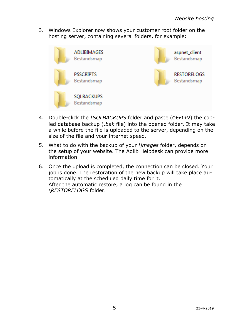3. Windows Explorer now shows your customer root folder on the hosting server, containing several folders, for example:



- 4. Double-click the *\SQLBACKUPS* folder and paste (**Ctrl+V**) the copied database backup (.*bak* file) into the opened folder. It may take a while before the file is uploaded to the server, depending on the size of the file and your internet speed.
- 5. What to do with the backup of your *\images* folder, depends on the setup of your website. The Adlib Helpdesk can provide more information.
- 6. Once the upload is completed, the connection can be closed. Your job is done. The restoration of the new backup will take place automatically at the scheduled daily time for it. After the automatic restore, a log can be found in the \*RESTORELOGS* folder.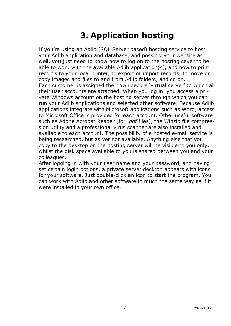<span id="page-10-0"></span>If you're using an Adlib (SQL Server based) hosting service to host your Adlib application and database, and possibly your website as well, you just need to know how to log on to the hosting sever to be able to work with the available Adlib application(s), and how to print records to your local printer, to export or import records, to move or copy images and files to and from Adlib folders, and so on. Each customer is assigned their own secure 'virtual server' to which all their user accounts are attached. When you log in, you access a private Windows account on the hosting server through which you can run your Adlib applications and selected other software. Because Adlib applications integrate with Microsoft applications such as Word, access to Microsoft Office is provided for each account. Other useful software such as Adobe Acrobat Reader (for .*pdf* files), the Winzip file compression utility and a professional virus scanner are also installed and available to each account. The possibility of a hosted e-mail service is being researched, but as yet not available. Anything else that you copy to the desktop on the hosting server will be visible to you only, whilst the disk space available to you is shared between you and your colleagues.

After logging in with your user name and your password, and having set certain login options, a private server desktop appears with icons for your software. Just double-click an icon to start the program. You can work with Adlib and other software in much the same way as if it were installed in your own office.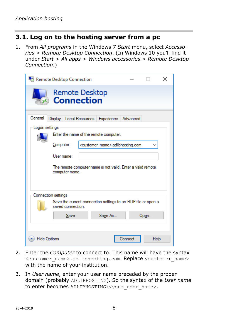## <span id="page-11-0"></span>**3.1. Log on to the hosting server from a pc**

1. From *All programs* in the Windows 7 *Start* menu, select *Accessories* > *Remote Desktop Connection*. (In Windows 10 you'll find it under *Start* > *All apps* > *Windows accessories* > *Remote Desktop Connection*.)

|                           | Remote Desktop Connection                                                                                                                                                                               |                                                  |         |              | × |
|---------------------------|---------------------------------------------------------------------------------------------------------------------------------------------------------------------------------------------------------|--------------------------------------------------|---------|--------------|---|
|                           | Remote Desktop<br><b>Connection</b>                                                                                                                                                                     |                                                  |         |              |   |
| General<br>Logon settings | Display   Local Resources   Experience   Advanced<br>Enter the name of the remote computer.<br>Computer:<br>User name:<br>The remote computer name is not valid. Enter a valid remote<br>computer name. | <customer_name>.adlibhosting.com</customer_name> |         |              |   |
| <b>Hide Options</b>       | Connection settings<br>Save the current connection settings to an RDP file or open a<br>saved connection.<br>Save                                                                                       | Save As                                          | Connect | Open<br>Help |   |

- 2. Enter the *Computer* to connect to. This name will have the syntax <customer\_name>.adlibhosting.com. Replace <customer\_name> with the name of your institution.
- 3. In *User name*, enter your user name preceded by the proper domain (probably ADLIBHOSTING). So the syntax of the *User name* to enter becomes ADLIBHOSTING\<your\_user\_name>.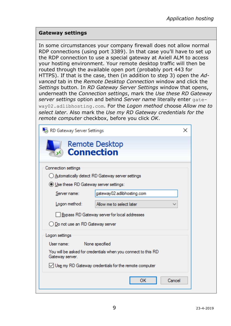#### **Gateway settings**

In some circumstances your company firewall does not allow normal RDP connections (using port 3389). In that case you'll have to set up the RDP connection to use a special gateway at Axiell ALM to access your hosting environment. Your remote desktop traffic will then be routed through the available open port (probably port 443 for HTTPS). If that is the case, then (in addition to step 3) open the *Advanced* tab in the *Remote Desktop Connection* window and click the *Settings* button. In *RD Gateway Server Settings* window that opens, underneath the *Connection settings*, mark the *Use these RD Gateway server settings* option and behind *Server name* literally enter gateway02.adlibhosting.com. For the *Logon method* choose *Allow me to select later*. Also mark the *Use my RD Gateway credentials for the remote computer* checkbox, before you click *OK*.

| RD Gateway Server Settings                | ×                                                             |  |  |  |  |
|-------------------------------------------|---------------------------------------------------------------|--|--|--|--|
| <b>Connection</b>                         | <b>Remote Desktop</b>                                         |  |  |  |  |
| Connection settings                       |                                                               |  |  |  |  |
|                                           | () Automatically detect RD Gateway server settings            |  |  |  |  |
| ● Use these RD Gateway server settings:   |                                                               |  |  |  |  |
| Server name:                              | gateway02.adlibhosting.com                                    |  |  |  |  |
| Logon method:<br>Allow me to select later |                                                               |  |  |  |  |
|                                           | Bypass RD Gateway server for local addresses                  |  |  |  |  |
| ○ Do not use an RD Gateway server         |                                                               |  |  |  |  |
| Logon settings                            |                                                               |  |  |  |  |
| User name:                                | None specified                                                |  |  |  |  |
| Gateway server.                           | You will be asked for credentials when you connect to this RD |  |  |  |  |
|                                           | $\vee$ Use my RD Gateway credentials for the remote computer  |  |  |  |  |
|                                           | Cancel<br>OK                                                  |  |  |  |  |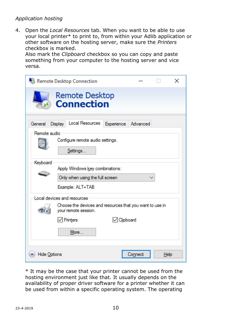4. Open the *Local Resources* tab. When you want to be able to use your local printer\* to print to, from within your Adlib application or other software on the hosting server, make sure the *Printers* checkbox is marked.

Also mark the *Clipboard* checkbox so you can copy and paste something from your computer to the hosting server and vice versa.

|                                     | Remote Desktop Connection                                                                                       |             |         |      | $\times$ |  |  |
|-------------------------------------|-----------------------------------------------------------------------------------------------------------------|-------------|---------|------|----------|--|--|
| Remote Desktop<br><b>Connection</b> |                                                                                                                 |             |         |      |          |  |  |
| General<br>Remote audio             | Local Resources Experience Advanced<br>Display                                                                  |             |         |      |          |  |  |
| Keyboard                            | Configure remote audio settings.<br>Settings                                                                    |             |         |      |          |  |  |
|                                     | Apply Windows key combinations:<br>Only when using the full screen<br>Example: ALT+TAB                          |             |         |      |          |  |  |
|                                     | Local devices and resources<br>Choose the devices and resources that you want to use in<br>your remote session. |             |         |      |          |  |  |
|                                     | $\sqrt{}$ Printers<br>More                                                                                      | √ Clipboard |         |      |          |  |  |
| <b>Hide Options</b>                 |                                                                                                                 |             | Connect | Help |          |  |  |

\* It may be the case that your printer cannot be used from the hosting environment just like that. It usually depends on the availability of proper driver software for a printer whether it can be used from within a specific operating system. The operating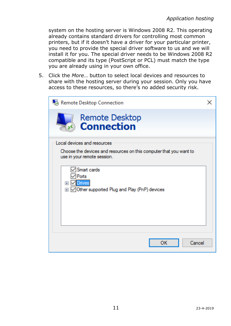system on the hosting server is Windows 2008 R2. This operating already contains standard drivers for controlling most common printers, but if it doesn't have a driver for your particular printer, you need to provide the special driver software to us and we will install it for you. The special driver needs to be Windows 2008 R2 compatible and its type (PostScript or PCL) must match the type you are already using in your own office.

5. Click the *More*… button to select local devices and resources to share with the hosting server during your session. Only you have access to these resources, so there's no added security risk.

| <b>Remote Desktop Connection</b>                                                                  |  |
|---------------------------------------------------------------------------------------------------|--|
| <b>Remote Desktop</b><br><b>Connection</b>                                                        |  |
| Local devices and resources                                                                       |  |
| Choose the devices and resources on this computer that you want to<br>use in your remote session. |  |
| Smart cards                                                                                       |  |
| Ports<br><b>⊞</b> √ Drives                                                                        |  |
| ⊞ ⊠ Other supported Plug and Play (PnP) devices                                                   |  |
|                                                                                                   |  |
|                                                                                                   |  |
|                                                                                                   |  |
| ок<br>Cancel                                                                                      |  |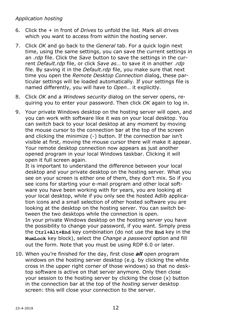- 6. Click the + in front of *Drives* to unfold the list. Mark all drives which you want to access from within the hosting server.
- 7. Click *OK* and go back to the *General* tab. For a quick login next time, using the same settings, you can save the current settings in an .*rdp* file. Click the *Save* button to save the settings in the current *Default.rdp* file, or click *Save as*… to save it in another .*rdp* file. By saving it in the *Default.rdp* file, you make sure that next time you open the *Remote Desktop Connection* dialog, these particular settings will be loaded automatically. If your settings file is named differently, you will have to *Open*… it explicitly.
- 8. Click *OK* and a *Windows security* dialog on the server opens, requiring you to enter your password. Then click *OK* again to log in.
- 9. Your private Windows desktop on the hosting server will open, and you can work with software like it was on your local desktop. You can switch back to your local desktop at any moment by moving the mouse cursor to the connection bar at the top of the screen and clicking the minimize (-) button. If the connection bar isn't visible at first, moving the mouse cursor there will make it appear. Your remote desktop connection now appears as just another opened program in your local Windows taskbar. Clicking it will open it full screen again.

It is important to understand the difference between your local desktop and your private desktop on the hosting server. What you see on your screen is either one of them, they don't mix. So if you see icons for starting your e-mail program and other local software you have been working with for years, you are looking at your local desktop, while if you only see the hosted Adlib application icons and a small selection of other hosted software you are looking at the desktop on the hosting server. You can switch between the two desktops while the connection is open.

In your private Windows desktop on the hosting server you have the possibility to change your password, if you want. Simply press the **Ctrl+Alt+End** key combination (do not use the **End** key in the **NumLock** key block), select the *Change a password* option and fill out the form. Note that you must be using RDP 6.0 or later.

10. When you're finished for the day, first close *all* open program windows on the hosting server desktop (e.g. by clicking the white cross in the upper right corner of those windows) so that no desktop software is active on that server anymore. Only then close your session to the hosting server by clicking the close (x) button in the connection bar at the top of the *hosting* server desktop screen: this will close your connection to the server.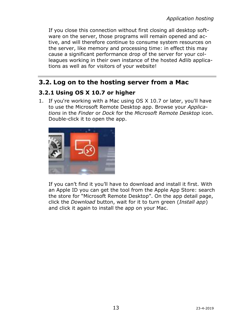If you close this connection without first closing all desktop software on the server, those programs will remain opened and active, and will therefore continue to consume system resources on the server, like memory and processing time: in effect this may cause a significant performance drop of the server for your colleagues working in their own instance of the hosted Adlib applications as well as for visitors of your website!

## <span id="page-16-0"></span>**3.2. Log on to the hosting server from a Mac**

### <span id="page-16-1"></span>**3.2.1 Using OS X 10.7 or higher**

1. If you're working with a Mac using OS X 10.7 or later, you'll have to use the Microsoft Remote Desktop app. Browse your *Applications* in the *Finder* or *Dock* for the *Microsoft Remote Desktop* icon. Double-click it to open the app.



If you can't find it you'll have to download and install it first. With an Apple ID you can get the tool from the Apple App Store: search the store for "Microsoft Remote Desktop". On the app detail page, click the *Download* button, wait for it to turn green (*Install app*) and click it again to install the app on your Mac.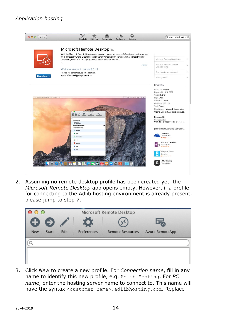

2. Assuming no remote desktop profile has been created yet, the *Microsoft Remote Desktop* app opens empty. However, if a profile for connecting to the Adlib hosting environment is already present, please jump to step 7.



3. Click *New* to create a new profile. For *Connection name*, fill in any name to identify this new profile, e.g. Adlib Hosting. For *PC name*, enter the hosting server name to connect to. This name will have the syntax <customer\_name>.adlibhosting.com. Replace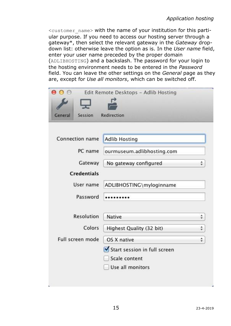<customer\_name> with the name of your institution for this partiular purpose. If you need to access our hosting server through a gateway\*, then select the relevant gateway in the *Gateway* dropdown list: otherwise leave the option as is. In the *User name* field, enter your user name preceded by the proper domain (ADLIBHOSTING) and a backslash. The password for your login to the hosting environment needs to be entered in the *Password* field. You can leave the other settings on the *General* page as they are, except for *Use all monitors*, which can be switched off.

|                    | Edit Remote Desktops - Adlib Hosting |                                                                                                                                                                                                                                                                                                                                                                                                                                                                                                                                                                                                                                                  |
|--------------------|--------------------------------------|--------------------------------------------------------------------------------------------------------------------------------------------------------------------------------------------------------------------------------------------------------------------------------------------------------------------------------------------------------------------------------------------------------------------------------------------------------------------------------------------------------------------------------------------------------------------------------------------------------------------------------------------------|
| Session<br>General | Redirection                          |                                                                                                                                                                                                                                                                                                                                                                                                                                                                                                                                                                                                                                                  |
| Connection name    | <b>Adlib Hosting</b>                 |                                                                                                                                                                                                                                                                                                                                                                                                                                                                                                                                                                                                                                                  |
| PC name            | ourmuseum.adlibhosting.com           |                                                                                                                                                                                                                                                                                                                                                                                                                                                                                                                                                                                                                                                  |
| Gateway            | No gateway configured                | ÷                                                                                                                                                                                                                                                                                                                                                                                                                                                                                                                                                                                                                                                |
| <b>Credentials</b> |                                      |                                                                                                                                                                                                                                                                                                                                                                                                                                                                                                                                                                                                                                                  |
| User name          | ADLIBHOSTING\myloginname             |                                                                                                                                                                                                                                                                                                                                                                                                                                                                                                                                                                                                                                                  |
| Password           |                                      |                                                                                                                                                                                                                                                                                                                                                                                                                                                                                                                                                                                                                                                  |
| Resolution         | Native                               | ÷                                                                                                                                                                                                                                                                                                                                                                                                                                                                                                                                                                                                                                                |
| Colors             | Highest Quality (32 bit)             | $\frac{\textcolor{red}{\textcolor{blue}{\textcolor{blue}{\textcolor{blue}{\textcolor{blue}{\textcolor{blue}{\textcolor{blue}{\textcolor{blue}{\textcolor{blue}{\textcolor{blue}{\textcolor{blue}{\textcolor{blue}{\textcolor{blue}{\textcolor{blue}{\textcolor{blue}{\textcolor{blue}{\textcolor{blue}{\textcolor{blue}{\textcolor{blue}{\textcolor{blue}{\textcolor{blue}{\textcolor{blue}{\textcolor{blue}{\textcolor{blue}{\textcolor{blue}{\textcolor{blue}{\textcolor{blue}{\textcolor{blue}{\textcolor{blue}{\textcolor{blue}{\textcolor{blue}{\textcolor{blue}{\textcolor{blue}{\textcolor{blue}{\textcolor{blue}{\textcolor{blue}{\text$ |
| Full screen mode   | OS X native                          | $\hat{\div}$                                                                                                                                                                                                                                                                                                                                                                                                                                                                                                                                                                                                                                     |
|                    | Start session in full screen         |                                                                                                                                                                                                                                                                                                                                                                                                                                                                                                                                                                                                                                                  |
|                    | Scale content<br>Use all monitors    |                                                                                                                                                                                                                                                                                                                                                                                                                                                                                                                                                                                                                                                  |
|                    |                                      |                                                                                                                                                                                                                                                                                                                                                                                                                                                                                                                                                                                                                                                  |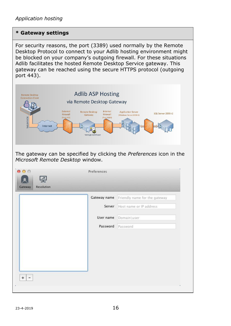#### **\* Gateway settings**

For security reasons, the port (3389) used normally by the Remote Desktop Protocol to connect to your Adlib hosting environment might be blocked on your company's outgoing firewall. For these situations Adlib facilitates the hosted Remote Desktop Service gateway. This gateway can be reached using the secure HTTPS protocol (outgoing port 443).

| <b>Remote Desktop</b><br><b>Connection Client</b><br>via Remote Desktop Gateway<br>External<br><b>Remote Desktop</b><br>Firewall<br>Gateway<br>(Port 443)<br>RDP/HTTPS<br>Internet<br>Verisign Certificaat | <b>Adlib ASP Hosting</b><br>Internal<br>Firewall<br>(Port 3389) | <b>Application Server</b><br>SQL Server 2008 r2<br>(Windows Server2008r2) |
|------------------------------------------------------------------------------------------------------------------------------------------------------------------------------------------------------------|-----------------------------------------------------------------|---------------------------------------------------------------------------|
| The gateway can be specified by clicking the Preferences icon in the<br>Microsoft Remote Desktop window.                                                                                                   |                                                                 |                                                                           |
| 000<br><b>Resolution</b><br>Gateway                                                                                                                                                                        | Preferences                                                     |                                                                           |
|                                                                                                                                                                                                            | Gateway name                                                    | Friendly name for the gateway                                             |
|                                                                                                                                                                                                            | Server                                                          | Host name or IP address                                                   |
|                                                                                                                                                                                                            | User name                                                       | Domain\user                                                               |
|                                                                                                                                                                                                            | Password                                                        | Password                                                                  |
| $\ddot{}$<br>$\overline{\phantom{0}}$                                                                                                                                                                      |                                                                 |                                                                           |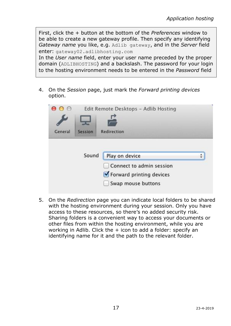First, click the + button at the bottom of the *Preferences* window to be able to create a new gateway profile. Then specify any identifying *Gateway name* you like, e.g. Adlib gateway, and in the *Server* field enter: gateway02.adlibhosting.com

In the *User name* field, enter your user name preceded by the proper domain (ADLIBHOSTING) and a backslash. The password for your login to the hosting environment needs to be entered in the *Password* field

4. On the *Session* page, just mark the *Forward printing devices* option.

|         |         | Edit Remote Desktops - Adlib Hosting |  |
|---------|---------|--------------------------------------|--|
| General | Session | Redirection                          |  |
|         | Sound   |                                      |  |
|         |         | Play on device                       |  |

5. On the *Redirection* page you can indicate local folders to be shared with the hosting environment during your session. Only you have access to these resources, so there's no added security risk. Sharing folders is a convenient way to access your documents or other files from within the hosting environment, while you are working in Adlib. Click the  $+$  icon to add a folder: specify an identifying name for it and the path to the relevant folder.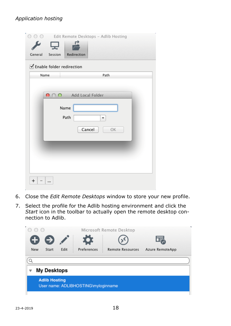| General<br>Session<br>Name | Redirection<br>■ Enable folder redirection<br>Path    |
|----------------------------|-------------------------------------------------------|
| 000                        | Add Local Folder<br>Name<br>Path<br>▼<br>Cancel<br>OK |
| +<br>                      |                                                       |

- 6. Close the *Edit Remote Desktops* window to store your new profile.
- 7. Select the profile for the Adlib hosting environment and click the *Start* icon in the toolbar to actually open the remote desktop connection to Adlib.

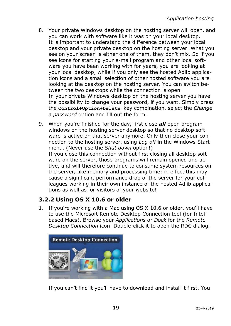- 8. Your private Windows desktop on the hosting server will open, and you can work with software like it was on your local desktop. It is important to understand the difference between your local desktop and your private desktop on the hosting server. What you see on your screen is either one of them, they don't mix. So if you see icons for starting your e-mail program and other local software you have been working with for years, you are looking at your local desktop, while if you only see the hosted Adlib application icons and a small selection of other hosted software you are looking at the desktop on the hosting server. You can switch between the two desktops while the connection is open. In your private Windows desktop on the hosting server you have the possibility to change your password, if you want. Simply press the **Control+Option+Delete** key combination, select the *Change a password* option and fill out the form.
- 9. When you're finished for the day, first close *all* open program windows on the hosting server desktop so that no desktop software is active on that server anymore. Only then close your connection to the hosting server, using *Log off* in the Windows Start menu. (Never use the *Shut down* option!) If you close this connection without first closing all desktop software on the server, those programs will remain opened and active, and will therefore continue to consume system resources on the server, like memory and processing time: in effect this may cause a significant performance drop of the server for your colleagues working in their own instance of the hosted Adlib applications as well as for visitors of your website!

## <span id="page-22-0"></span>**3.2.2 Using OS X 10.6 or older**

1. If you're working with a Mac using OS X 10.6 or older, you'll have to use the Microsoft Remote Desktop Connection tool (for Intelbased Macs). Browse your *Applications* or *Dock* for the *Remote Desktop Connection* icon. Double-click it to open the RDC dialog.



If you can't find it you'll have to download and install it first. You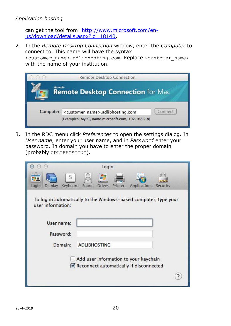can get the tool from: [http://www.microsoft.com/en](http://www.microsoft.com/en-us/download/details.aspx?id=18140)[us/download/details.aspx?id=18140.](http://www.microsoft.com/en-us/download/details.aspx?id=18140)

2. In the *Remote Desktop Connection* window, enter the *Computer* to connect to. This name will have the syntax

<customer\_name>.adlibhosting.com. Replace <customer\_name> with the name of your institution.

| (100)     | <b>Remote Desktop Connection</b>                                   |
|-----------|--------------------------------------------------------------------|
|           | Microsoft <sup>*</sup><br><b>Remote Desktop Connection for Mac</b> |
| Computer: | Connect<br><customer_name>.adlibhosting.com</customer_name>        |
|           | (Examples: MyPC, name.microsoft.com, 192.168.2.8)                  |

3. In the RDC menu click *Preferences* to open the settings dialog. In *User name*, enter your user name, and in *Password* enter your password. In domain you have to enter the proper domain (probably ADLIBHOSTING).

|                                                                                       |                     | Login         |          |                                                                                  |  |
|---------------------------------------------------------------------------------------|---------------------|---------------|----------|----------------------------------------------------------------------------------|--|
| S<br>Keyboard<br>Display<br>Login                                                     | ⊚<br>Sound          | <b>Drives</b> | Printers | Applications Security                                                            |  |
| To log in automatically to the Windows-based computer, type your<br>user information: |                     |               |          |                                                                                  |  |
| User name:                                                                            |                     |               |          |                                                                                  |  |
| Password:                                                                             |                     |               |          |                                                                                  |  |
| Domain:                                                                               | <b>ADLIBHOSTING</b> |               |          |                                                                                  |  |
|                                                                                       |                     |               |          | Add user information to your keychain<br>Reconnect automatically if disconnected |  |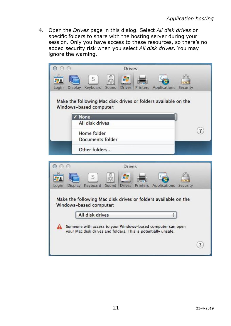4. Open the *Drives* page in this dialog. Select *All disk drives* or specific folders to share with the hosting server during your session. Only you have access to these resources, so there's no added security risk when you select *All disk drives*. You may ignore the warning.

| <b>Drives</b>                                                                                                                |  |  |  |  |  |  |  |  |
|------------------------------------------------------------------------------------------------------------------------------|--|--|--|--|--|--|--|--|
| S<br>Keyboard<br><b>Display</b><br>Sound<br><b>Drives</b><br>Printers<br>Applications Security<br>Login                      |  |  |  |  |  |  |  |  |
| Make the following Mac disk drives or folders available on the<br>Windows-based computer:                                    |  |  |  |  |  |  |  |  |
| √ None<br>All disk drives                                                                                                    |  |  |  |  |  |  |  |  |
| $\overline{?}$                                                                                                               |  |  |  |  |  |  |  |  |
| Home folder<br>Documents folder                                                                                              |  |  |  |  |  |  |  |  |
| Other folders                                                                                                                |  |  |  |  |  |  |  |  |
| <b>Drives</b>                                                                                                                |  |  |  |  |  |  |  |  |
| Keyboard<br><b>Applications</b><br>Login<br><b>Display</b><br>Sound<br>Printers<br><b>Drives</b><br>Security                 |  |  |  |  |  |  |  |  |
| Make the following Mac disk drives or folders available on the<br>Windows-based computer:                                    |  |  |  |  |  |  |  |  |
| All disk drives                                                                                                              |  |  |  |  |  |  |  |  |
| Someone with access to your Windows-based computer can open<br>your Mac disk drives and folders. This is potentially unsafe. |  |  |  |  |  |  |  |  |

 $(7)$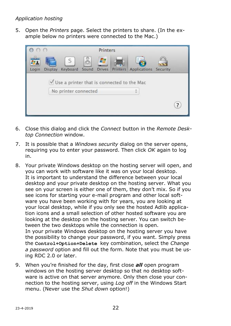5. Open the *Printers* page. Select the printers to share. (In the example below no printers were connected to the Mac.)

|                                            |         | Printers                  |         |               |                 |                       |  |   |
|--------------------------------------------|---------|---------------------------|---------|---------------|-----------------|-----------------------|--|---|
|                                            |         | S                         | $\circ$ | н             |                 |                       |  |   |
| Login                                      | Display | Keyboard Sound            |         | <b>Drives</b> | <b>Printers</b> | Applications Security |  |   |
| Use a printer that is connected to the Mac |         |                           |         |               |                 |                       |  |   |
|                                            |         | No printer connected<br>÷ |         |               |                 |                       |  |   |
|                                            |         |                           |         |               |                 |                       |  | 7 |

- 6. Close this dialog and click the *Connect* button in the *Remote Desktop Connection* window.
- 7. It is possible that a *Windows security* dialog on the server opens, requiring you to enter your password. Then click *OK* again to log in.
- 8. Your private Windows desktop on the hosting server will open, and you can work with software like it was on your local desktop. It is important to understand the difference between your local desktop and your private desktop on the hosting server. What you see on your screen is either one of them, they don't mix. So if you see icons for starting your e-mail program and other local software you have been working with for years, you are looking at your local desktop, while if you only see the hosted Adlib application icons and a small selection of other hosted software you are looking at the desktop on the hosting server. You can switch between the two desktops while the connection is open. In your private Windows desktop on the hosting server you have the possibility to change your password, if you want. Simply press the **Control+Option+Delete** key combination, select the *Change a password* option and fill out the form. Note that you must be using RDC 2.0 or later.
- 9. When you're finished for the day, first close *all* open program windows on the hosting server desktop so that no desktop software is active on that server anymore. Only then close your connection to the hosting server, using *Log off* in the Windows Start menu. (Never use the *Shut down* option!)